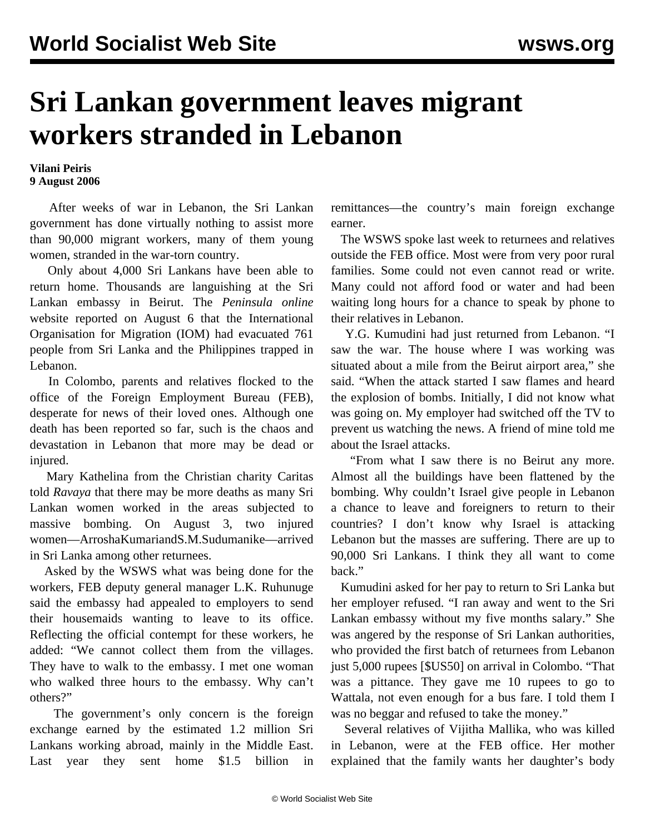## **Sri Lankan government leaves migrant workers stranded in Lebanon**

## **Vilani Peiris 9 August 2006**

 After weeks of war in Lebanon, the Sri Lankan government has done virtually nothing to assist more than 90,000 migrant workers, many of them young women, stranded in the war-torn country.

 Only about 4,000 Sri Lankans have been able to return home. Thousands are languishing at the Sri Lankan embassy in Beirut. The *Peninsula online* website reported on August 6 that the International Organisation for Migration (IOM) had evacuated 761 people from Sri Lanka and the Philippines trapped in Lebanon.

 In Colombo, parents and relatives flocked to the office of the Foreign Employment Bureau (FEB), desperate for news of their loved ones. Although one death has been reported so far, such is the chaos and devastation in Lebanon that more may be dead or injured.

 Mary Kathelina from the Christian charity Caritas told *Ravaya* that there may be more deaths as many Sri Lankan women worked in the areas subjected to massive bombing. On August 3, two injured women—Arrosha Kumari and S.M. Sudumanike—arrived in Sri Lanka among other returnees.

 Asked by the WSWS what was being done for the workers, FEB deputy general manager L.K. Ruhunuge said the embassy had appealed to employers to send their housemaids wanting to leave to its office. Reflecting the official contempt for these workers, he added: "We cannot collect them from the villages. They have to walk to the embassy. I met one woman who walked three hours to the embassy. Why can't others?"

 The government's only concern is the foreign exchange earned by the estimated 1.2 million Sri Lankans working abroad, mainly in the Middle East. Last year they sent home \$1.5 billion in remittances—the country's main foreign exchange earner.

 The WSWS spoke last week to returnees and relatives outside the FEB office. Most were from very poor rural families. Some could not even cannot read or write. Many could not afford food or water and had been waiting long hours for a chance to speak by phone to their relatives in Lebanon.

 Y.G. Kumudini had just returned from Lebanon. "I saw the war. The house where I was working was situated about a mile from the Beirut airport area," she said. "When the attack started I saw flames and heard the explosion of bombs. Initially, I did not know what was going on. My employer had switched off the TV to prevent us watching the news. A friend of mine told me about the Israel attacks.

 "From what I saw there is no Beirut any more. Almost all the buildings have been flattened by the bombing. Why couldn't Israel give people in Lebanon a chance to leave and foreigners to return to their countries? I don't know why Israel is attacking Lebanon but the masses are suffering. There are up to 90,000 Sri Lankans. I think they all want to come back."

 Kumudini asked for her pay to return to Sri Lanka but her employer refused. "I ran away and went to the Sri Lankan embassy without my five months salary." She was angered by the response of Sri Lankan authorities, who provided the first batch of returnees from Lebanon just 5,000 rupees [\$US50] on arrival in Colombo. "That was a pittance. They gave me 10 rupees to go to Wattala, not even enough for a bus fare. I told them I was no beggar and refused to take the money."

 Several relatives of Vijitha Mallika, who was killed in Lebanon, were at the FEB office. Her mother explained that the family wants her daughter's body